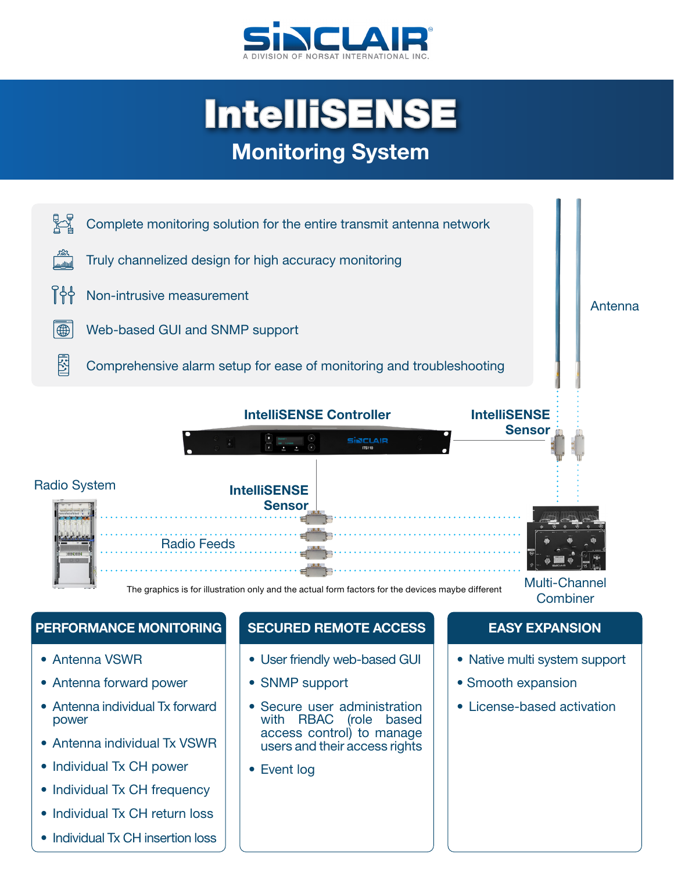

# IntelliSENSE **Monitoring System**



### **PERFORMANCE MONITORING SECURED REMOTE ACCESS EASY EXPANSION**

- Antenna VSWR
- Antenna forward power
- Antenna individual Tx forward power
- Antenna individual Tx VSWR
- Individual Tx CH power
- Individual Tx CH frequency
- Individual Tx CH return loss
- Individual Tx CH insertion loss

- User friendly web-based GUI
- SNMP support
- Secure user administration with RBAC (role based access control) to manage users and their access rights
- Event log

- Native multi system support
- Smooth expansion
- License-based activation